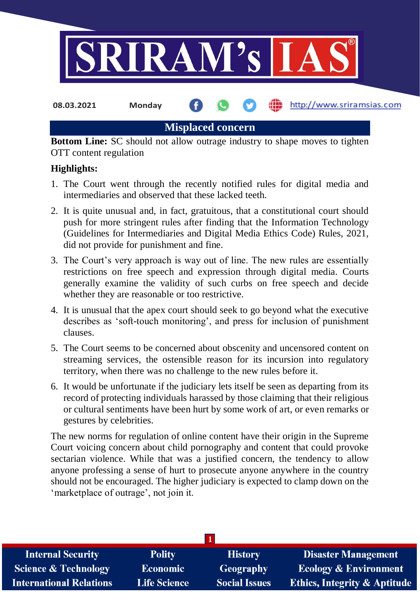

**08.03.2021 Monday**

http://www.sriramsias.com

**Misplaced concern**

**Bottom Line:** SC should not allow outrage industry to shape moves to tighten OTT content regulation

# **Highlights:**

- 1. The Court went through the recently notified rules for digital media and intermediaries and observed that these lacked teeth.
- 2. It is quite unusual and, in fact, gratuitous, that a constitutional court should push for more stringent rules after finding that the Information Technology (Guidelines for Intermediaries and Digital Media Ethics Code) Rules, 2021, did not provide for punishment and fine.
- 3. The Court's very approach is way out of line. The new rules are essentially restrictions on free speech and expression through digital media. Courts generally examine the validity of such curbs on free speech and decide whether they are reasonable or too restrictive.
- 4. It is unusual that the apex court should seek to go beyond what the executive describes as 'soft-touch monitoring', and press for inclusion of punishment clauses.
- 5. The Court seems to be concerned about obscenity and uncensored content on streaming services, the ostensible reason for its incursion into regulatory territory, when there was no challenge to the new rules before it.
- 6. It would be unfortunate if the judiciary lets itself be seen as departing from its record of protecting individuals harassed by those claiming that their religious or cultural sentiments have been hurt by some work of art, or even remarks or gestures by celebrities.

The new norms for regulation of online content have their origin in the Supreme Court voicing concern about child pornography and content that could provoke sectarian violence. While that was a justified concern, the tendency to allow anyone professing a sense of hurt to prosecute anyone anywhere in the country should not be encouraged. The higher judiciary is expected to clamp down on the 'marketplace of outrage', not join it.

| <b>Internal Security</b>        | <b>Polity</b>       | <b>History</b>       | <b>Disaster Management</b>              |
|---------------------------------|---------------------|----------------------|-----------------------------------------|
| <b>Science &amp; Technology</b> | <b>Economic</b>     | <b>Geography</b>     | <b>Ecology &amp; Environment</b>        |
| <b>International Relations</b>  | <b>Life Science</b> | <b>Social Issues</b> | <b>Ethics, Integrity &amp; Aptitude</b> |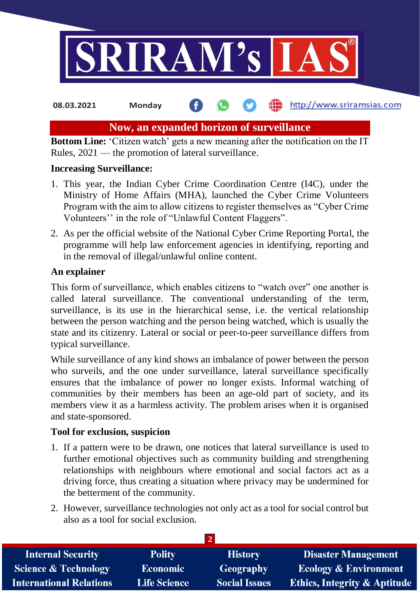

**08.03.2021 Monday**

## http://www.sriramsias.com

# **Now, an expanded horizon of surveillance**

**Bottom Line:** 'Citizen watch' gets a new meaning after the notification on the IT Rules, 2021 — the promotion of lateral surveillance.

# **Increasing Surveillance:**

- 1. This year, the Indian Cyber Crime Coordination Centre (I4C), under the Ministry of Home Affairs (MHA), launched the Cyber Crime Volunteers Program with the aim to allow citizens to register themselves as "Cyber Crime Volunteers'' in the role of "Unlawful Content Flaggers".
- 2. As per the official website of the National Cyber Crime Reporting Portal, the programme will help law enforcement agencies in identifying, reporting and in the removal of illegal/unlawful online content.

# **An explainer**

This form of surveillance, which enables citizens to "watch over" one another is called lateral surveillance. The conventional understanding of the term, surveillance, is its use in the hierarchical sense, i.e. the vertical relationship between the person watching and the person being watched, which is usually the state and its citizenry. Lateral or social or peer-to-peer surveillance differs from typical surveillance.

While surveillance of any kind shows an imbalance of power between the person who surveils, and the one under surveillance, lateral surveillance specifically ensures that the imbalance of power no longer exists. Informal watching of communities by their members has been an age-old part of society, and its members view it as a harmless activity. The problem arises when it is organised and state-sponsored.

# **Tool for exclusion, suspicion**

- 1. If a pattern were to be drawn, one notices that lateral surveillance is used to further emotional objectives such as community building and strengthening relationships with neighbours where emotional and social factors act as a driving force, thus creating a situation where privacy may be undermined for the betterment of the community.
- 2. However, surveillance technologies not only act as a tool for social control but also as a tool for social exclusion.

| <b>Internal Security</b>        | <b>Polity</b>       | <b>History</b>       | <b>Disaster Management</b>              |
|---------------------------------|---------------------|----------------------|-----------------------------------------|
| <b>Science &amp; Technology</b> | <b>Economic</b>     | Geography            | <b>Ecology &amp; Environment</b>        |
| <b>International Relations</b>  | <b>Life Science</b> | <b>Social Issues</b> | <b>Ethics, Integrity &amp; Aptitude</b> |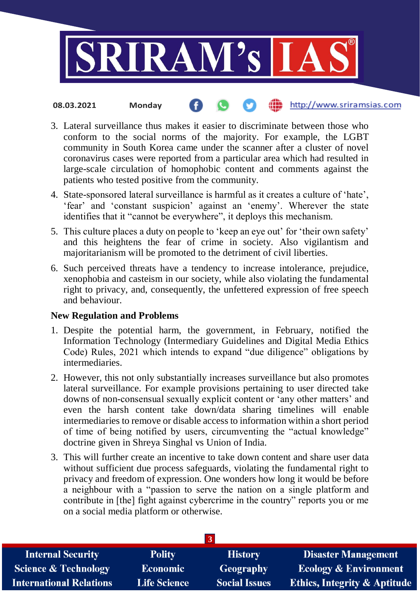

#### http://www.sriramsias.com **08.03.2021 Monday**

- 3. Lateral surveillance thus makes it easier to discriminate between those who conform to the social norms of the majority. For example, the LGBT community in South Korea came under the scanner after a cluster of novel coronavirus cases were reported from a particular area which had resulted in large-scale circulation of homophobic content and comments against the patients who tested positive from the community.
- 4. State-sponsored lateral surveillance is harmful as it creates a culture of 'hate', 'fear' and 'constant suspicion' against an 'enemy'. Wherever the state identifies that it "cannot be everywhere", it deploys this mechanism.
- 5. This culture places a duty on people to 'keep an eye out' for 'their own safety' and this heightens the fear of crime in society. Also vigilantism and majoritarianism will be promoted to the detriment of civil liberties.
- 6. Such perceived threats have a tendency to increase intolerance, prejudice, xenophobia and casteism in our society, while also violating the fundamental right to privacy, and, consequently, the unfettered expression of free speech and behaviour.

### **New Regulation and Problems**

- 1. Despite the potential harm, the government, in February, notified the Information Technology (Intermediary Guidelines and Digital Media Ethics Code) Rules, 2021 which intends to expand "due diligence" obligations by intermediaries.
- 2. However, this not only substantially increases surveillance but also promotes lateral surveillance. For example provisions pertaining to user directed take downs of non-consensual sexually explicit content or 'any other matters' and even the harsh content take down/data sharing timelines will enable intermediaries to remove or disable access to information within a short period of time of being notified by users, circumventing the "actual knowledge" doctrine given in Shreya Singhal vs Union of India.
- 3. This will further create an incentive to take down content and share user data without sufficient due process safeguards, violating the fundamental right to privacy and freedom of expression. One wonders how long it would be before a neighbour with a "passion to serve the nation on a single platform and contribute in [the] fight against cybercrime in the country" reports you or me on a social media platform or otherwise.

| <b>Internal Security</b>        | <b>Polity</b>       | <b>History</b>       | <b>Disaster Management</b>       |
|---------------------------------|---------------------|----------------------|----------------------------------|
| <b>Science &amp; Technology</b> | <b>Economic</b>     | <b>Geography</b>     | <b>Ecology &amp; Environment</b> |
| <b>International Relations</b>  | <b>Life Science</b> | <b>Social Issues</b> | Ethics, Integrity & Aptitude     |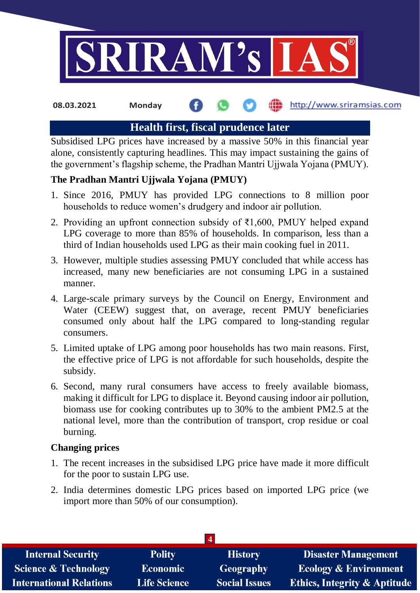

#### http://www.sriramsias.com **08.03.2021 Monday**

# **Health first, fiscal prudence later**

Subsidised LPG prices have increased by a massive 50% in this financial year alone, consistently capturing headlines. This may impact sustaining the gains of the government's flagship scheme, the Pradhan Mantri Ujjwala Yojana (PMUY).

# **The Pradhan Mantri Ujjwala Yojana (PMUY)**

- 1. Since 2016, PMUY has provided LPG connections to 8 million poor households to reduce women's drudgery and indoor air pollution.
- 2. Providing an upfront connection subsidy of ₹1,600, PMUY helped expand LPG coverage to more than 85% of households. In comparison, less than a third of Indian households used LPG as their main cooking fuel in 2011.
- 3. However, multiple studies assessing PMUY concluded that while access has increased, many new beneficiaries are not consuming LPG in a sustained manner.
- 4. Large-scale primary surveys by the Council on Energy, Environment and Water (CEEW) suggest that, on average, recent PMUY beneficiaries consumed only about half the LPG compared to long-standing regular consumers.
- 5. Limited uptake of LPG among poor households has two main reasons. First, the effective price of LPG is not affordable for such households, despite the subsidy.
- 6. Second, many rural consumers have access to freely available biomass, making it difficult for LPG to displace it. Beyond causing indoor air pollution, biomass use for cooking contributes up to 30% to the ambient PM2.5 at the national level, more than the contribution of transport, crop residue or coal burning.

### **Changing prices**

- 1. The recent increases in the subsidised LPG price have made it more difficult for the poor to sustain LPG use.
- 2. India determines domestic LPG prices based on imported LPG price (we import more than 50% of our consumption).

| <b>Internal Security</b>        | <b>Polity</b>       | <b>History</b>       | <b>Disaster Management</b>              |
|---------------------------------|---------------------|----------------------|-----------------------------------------|
| <b>Science &amp; Technology</b> | <b>Economic</b>     | <b>Geography</b>     | <b>Ecology &amp; Environment</b>        |
| <b>International Relations</b>  | <b>Life Science</b> | <b>Social Issues</b> | <b>Ethics, Integrity &amp; Aptitude</b> |